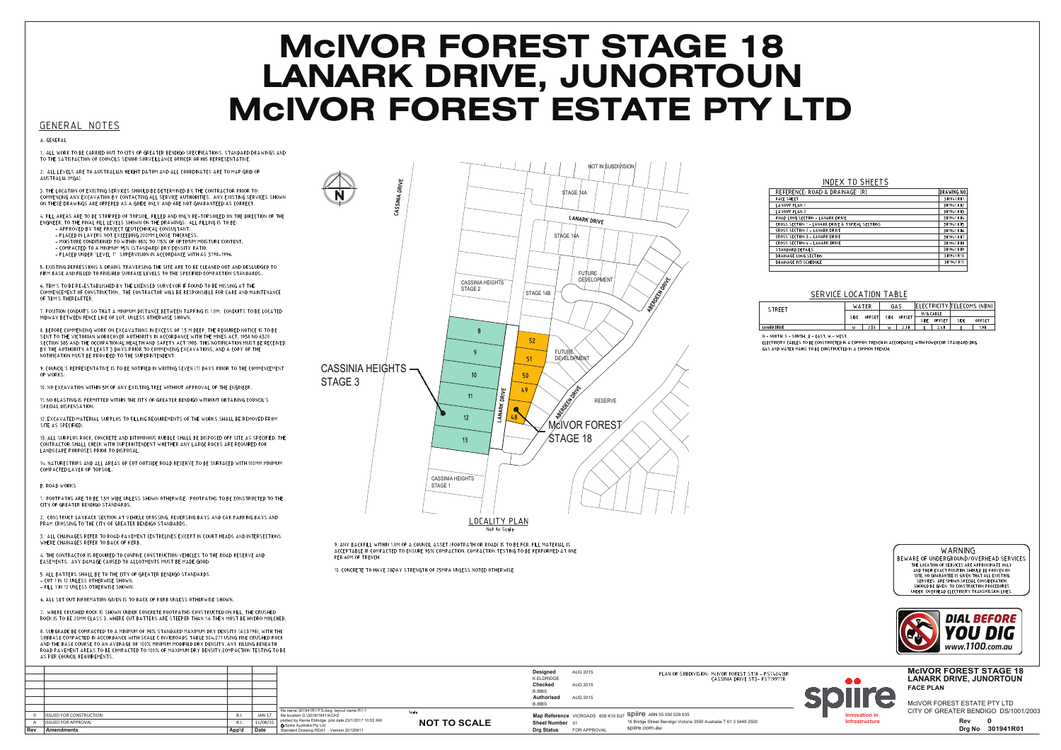## **MCIVOR FOREST STAGE 18 LANARK DRIVE, JUNORTOUN MCIVOR FOREST ESTATE PTY LTD**

GENERAL NOTES

A GENERAL

ALL WORK TO BE CARRIED OUT TO CITY OF GREATER BENDIGO SPECIFICATIONS, STANDARD DRAWINGS AND TO THE SATISEACTION OF COUNCILS SENIOR SURVEILLANCE OFFICER OR HIS REPRESENTATIVE

2. ALL LEVELS ARE TO AUSTRALIAN HEIGHT DATUM AND ALL COORDINATES ARE TO MAP GRID OF AUSTRALIA (MGA).

3. THE LOCATION OF EXISTING SERVICES SHOULD BE DETERMINED BY THE CONTRACTOR PRIOR TO COMMENCING ANY EXCAVATION BY CONTACTING ALL SERVICE AUTHORITIES. ANY EXISTING SERVICES SHOWN ON THESE DRAWINGS ARE OFFERED AS A GUIDE ONLY AND ARE NOT GUARANTEED AS CORRECT

4. FILL AREAS ARE TO BE STRIPPED OF TOPSOIL. FILLED AND ONLY RE-TOPSOILED ON THE DIRECTION OF THE 4. FILE AREAS ARE TO BE STRIFFED OF TOFSOIL, FILEED AND ONET RE-TOFSOILED ON T<br>ENGINEER, TO THE FINAL FILE LEVELS SHOWN ON THE DRAWINGS. ALL FILLING IS TO BE: - AT TROVED BY THE TROSECT GEOTECHNICAE CONSOLTANT:<br>- PLACED IN LAYERS NOT EXCEEDING 200MM LOOSE THICKNESS - MOISTURE CONDITIONED TO WITHIN 85% TO 115% OF OPTIMUM MOISTURE CONTENT

- COMPACTED TO A MINIMUM 95% (STANDARD) DRY DENSITY RATIO. - PLACED UNDER "LEVEL 1" SUPERVISION IN ACCORDANCE WITH AS 3798-1996

5. EXISTING DEPRESSIONS & DRAINS TRAVERSING THE SITE ARE TO BE CLEANED OUT AND DESLUDGED TO FIRM BASE AND FILLED TO FINISHED SURFACE LEVELS TO THE SPECIFIED COMPACTION STANDARDS

6. TBM'S TO BE RE-ESTABLISHED BY THE LICENSED SURVEYOR IF FOUND TO BE MISSING AT THE COMMENCEMENT OF CONSTRUCTION. THE CONTRACTOR WILL BE RESPONSIBLE FOR CARE AND MAINTENANCE OF TBM'S THEREAFTER.

7. POSITION CONDUITS SO THAT A MINIMUM DISTANCE BETWEEN TAPPING IS 1.0M. CONDUITS TO BE LOCATED MIDWAY BETWEEN FENCE LINE OF LOT, UNLESS OTHERWISE SHOWN.

8. BEFORE COMMENCING WORK ON EXCAVATIONS IN EXCESS OF 1.5 M DEEP, THE REQUIRED NOTICE IS TO BE SENT TO THE VICTORIAN WORKCOVER AUTHORITY IN ACCORDANCE WITH THE MINES ACT, 1958 NO 6320 BY THE AUTHORITY AT LEAST 3 DAYS PRIOR TO COMMENCING EXCAVATIONS, AND A COPY OF THE<br>NOTIFICATION MUST BE PROVIDED TO THE SUPERINTENDENT.

9. COUNCIL'S REPRESENTATIVE IS TO BE NOTIFIED IN WRITING SEVEN (7) DAYS PRIOR TO THE COMMENCEMENT OF WORKS

10. NO EXCAVATION WITHIN 5M OF ANY EXISTING TREE WITHOUT APPROVAL OF THE ENGINEER.

11. NO BLASTING IS PERMITTED WITHIN THE CITY OF GREATER BENDIGO WITHOUT OBTAINING COUNCIL'S SPECIAL DISPENSATION.

12. EXCAVATED MATERIAL SURPLUS TO FILLING REQUIREMENTS OF THE WORKS SHALL BE REMOVED FROM SITE AS SPECIFIED.

13. ALL SURPLUS ROCK, CONCRETE AND BITUMINOUS RUBBLE SHALL BE DISPOSED OFF SITE AS SPECIFIED. THE CONTRACTOR SHALL CHECK WITH SUPERINTENDENT WHETHER ANY LARGE ROCKS ARE REQUIRED FOR<br>LANDSCAPE PURPOSES PRIOR TO DISPOSAL.

14. NATURESTRIPS AND ALL AREAS OF CUT OUTSIDE ROAD RESERVE TO BE SURFACED WITH 100MM MINIMUM COMPACTED LAYER OF TOPSOIL

B. ROAD WORKS

1. EQOTPATHS ARE TO BE 15M WIDE UNLESS SHOWN OTHERWISE. EQOTPATHS TO BE CONSTRUCTED TO THE CITY OF GREATER BENDIGO STANDARDS.

2. CONSTRUCT LAYBACK SECTION AT VEHICLE CROSSING, REVERSING BAYS AND CAR PARKING BAYS AND PRAM CROSSING TO THE CITY OF GREATER BENDIGO STANDARDS.

3 ALL CHAINAGES REEER TO ROAD PAVEMENT CENTRELINES EXCEPT IN COURT HEADS AND INTERSECTIONS WHERE CHAINAGES REFER TO BACK OF KERB

. THE CONTRACTOR IS REQUIRED TO CONFINE CONSTRUCTION VEHICLES TO THE ROAD RESERVE AND **EASEMENTS. ANY DAMAGE CAUSED TO ALLOTMENTS MUST BE MADE GOOD** 

5. ALL BATTERS SHALL BE TO THE CITY OF GREATER BENDIGO STANDARDS - CUT 1 IN 12 UNLESS OTHERWISE SHOWN. - FILL 1 IN 12 UNLESS OTHERWISE SHOWN

6. ALL SET OUT INFORMATION GIVEN IS TO BACK OF KERB UNLESS OTHERWISE SHOWN

7. WHERE CRUSHED ROCK IS SHOWN UNDER CONCRETE FOOTPATHS CONSTRUCTED ON FILL, THE CRUSHED ROCK IS TO BE 20MM CLASS 3. WHERE CUT BATTERS ARE STEEPER THAN 1:6 THEY MUST BE HYDRO MULCHED

8. SUBGRADE BE COMPACTED TO A MINIMUM OF 98% STANDARD MAXIMUM DRY DENSITY (AS3798) WITH THE SUBBASE COMPACTED IN ACCORDANCE WITH SCALE C INVICROADS TABLE 304.071 USING FINE CRUSHED ROCK<br>AND THE BASE COUPACTED IN ACCORDANCE WITH SCALE C INVICROADS TABLE 304.071 USING FINE CRUSHED ROCK ROAD PAVEMENT AREAS TO BE COMPACTED TO 100% OF MAXIMUM DRY DENSITY.COMPACTION TESTING TO BE AS PER COUNCIL REQUIREMENTS.



9. ANY BACKFILL WITHIN 1.0M OF A COUNCIL ASSET (FOOTPATH OR ROAD) IS TO BE FCR. FILL MATERIAL IS<br>ACCEPTABLE IF COMPACTED TO ENSURE 95% COMPACTION. COMPACTION TESTING TO BE PERFORMED AT ONE PER 60M OF TRENC

10. CONCRETE TO HAVE 28DAY STRENGTH OF 25MPA UNLESS NOTED OTHERWISE



## SERVICE LOCATION TABLE

| STREET              | WATER |        | GAS  |        | ELECTRICITY TELECOMS (NBN) |        |      |        |
|---------------------|-------|--------|------|--------|----------------------------|--------|------|--------|
|                     | SIDE  | OFFSET | SIDE | OFFSET | U/G CABLE                  |        |      |        |
|                     |       |        |      |        | SIDE                       | OFFSET | SIDE | OFFSET |
| <b>LANARK DRIVE</b> | ъ.    | 2.50   | W    | 2.00   |                            | 2.40   |      | 1.90   |

N .- NORTH S .- SOUTH F .- FAST W .- WEST

GAS AND WATER MAINS TO BE CONSTRUCTED IN A COMMON TRENCH.





|  |                                |                    |         |                                                                                              |                     | Designed<br>KELDRIDGE       | AUG 2015     | PLAN OF SUBDIVISION: McIVOR FOREST ST18 - PS740415R<br>CASSINIA DRIVE ST3- PS719977R |                      | <b>MCIVOR FOREST STAGE 18</b><br><b>LANARK DRIVE, JUNORTOUN</b> |
|--|--------------------------------|--------------------|---------|----------------------------------------------------------------------------------------------|---------------------|-----------------------------|--------------|--------------------------------------------------------------------------------------|----------------------|-----------------------------------------------------------------|
|  |                                |                    |         |                                                                                              |                     | Checked                     | AUG 2015     |                                                                                      |                      | <b>FACE PLAN</b>                                                |
|  |                                |                    |         |                                                                                              |                     | <b>B.IBBS</b><br>Authorised | AUG 2015     |                                                                                      |                      |                                                                 |
|  |                                |                    |         |                                                                                              |                     | <b>B.IBBS</b>               |              |                                                                                      |                      | McIVOR FOREST ESTATE PTY LTD                                    |
|  |                                |                    |         | file name 301941R1-FS dwn Javout name R1-1                                                   |                     |                             |              |                                                                                      |                      | CITY OF GREATER BENDIGO DS/1001/2003                            |
|  | <b>ISSUED FOR CONSTRUCTION</b> |                    | JAN:    | Scal<br>file Incation G:\30\301941\ACAD                                                      |                     |                             |              | Map Reference VICROADS $608K10Ed7$ Spiire ABN 55 050 029 635                         | <b>Innovation</b> in |                                                                 |
|  | <b>ISSUED FOR APPROVAL</b>     |                    | 11/08/1 | plotted by Kerrie Eldridge plot date 23/1/2017 10:52 AM<br><b>O</b> Spiire Australia Pty Ltd | <b>NOT TO SCALE</b> | Sheet Number 01             |              | 16 Bridge Street Bendigo Victoria 3550 Australia T 61 3 5448 2500                    | Infrastructure       | Rev                                                             |
|  | Amendments                     | A - - 1-1<br>App u |         | Standard Drawing RDA1 - Version 20120911                                                     |                     | <b>Drg Status</b>           | FOR APPROVAL | spiire.com.au                                                                        |                      | Drg No 301941R01                                                |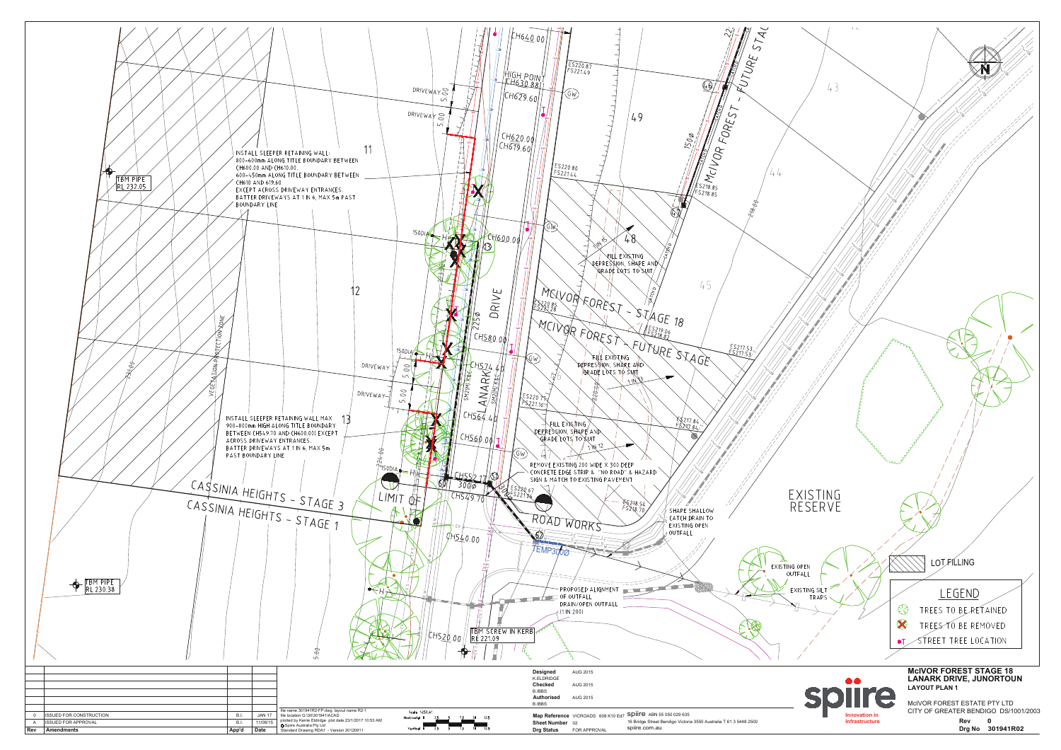